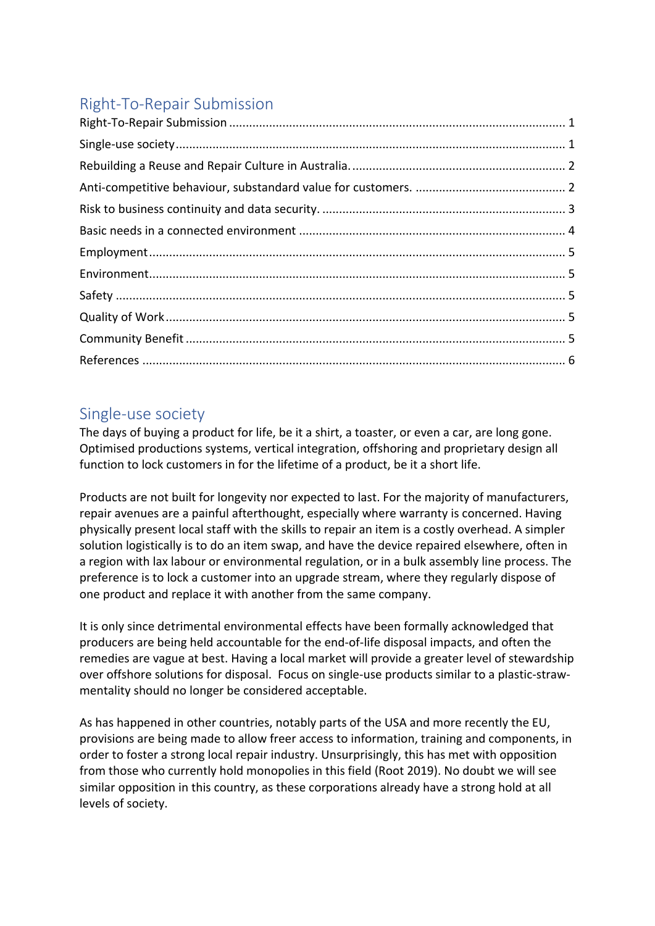# Right-To-Repair Submission

## Single-use society

The days of buying a product for life, be it a shirt, a toaster, or even a car, are long gone. Optimised productions systems, vertical integration, offshoring and proprietary design all function to lock customers in for the lifetime of a product, be it a short life.

Products are not built for longevity nor expected to last. For the majority of manufacturers, repair avenues are a painful afterthought, especially where warranty is concerned. Having physically present local staff with the skills to repair an item is a costly overhead. A simpler solution logistically is to do an item swap, and have the device repaired elsewhere, often in a region with lax labour or environmental regulation, or in a bulk assembly line process. The preference is to lock a customer into an upgrade stream, where they regularly dispose of one product and replace it with another from the same company.

It is only since detrimental environmental effects have been formally acknowledged that producers are being held accountable for the end-of-life disposal impacts, and often the remedies are vague at best. Having a local market will provide a greater level of stewardship over offshore solutions for disposal. Focus on single-use products similar to a plastic-strawmentality should no longer be considered acceptable.

As has happened in other countries, notably parts of the USA and more recently the EU, provisions are being made to allow freer access to information, training and components, in order to foster a strong local repair industry. Unsurprisingly, this has met with opposition from those who currently hold monopolies in this field (Root 2019). No doubt we will see similar opposition in this country, as these corporations already have a strong hold at all levels of society.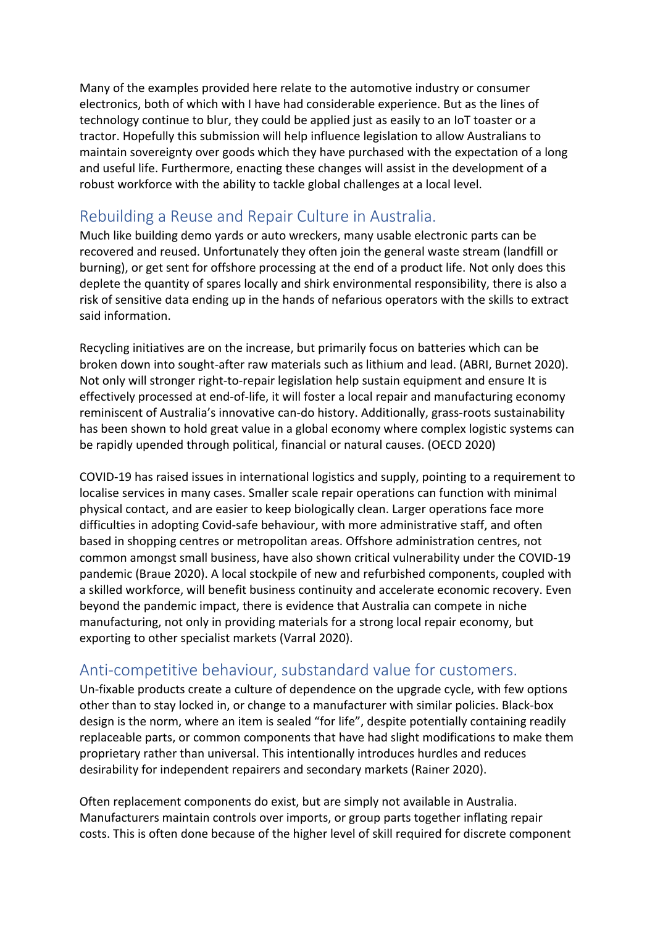Many of the examples provided here relate to the automotive industry or consumer electronics, both of which with I have had considerable experience. But as the lines of technology continue to blur, they could be applied just as easily to an IoT toaster or a tractor. Hopefully this submission will help influence legislation to allow Australians to maintain sovereignty over goods which they have purchased with the expectation of a long and useful life. Furthermore, enacting these changes will assist in the development of a robust workforce with the ability to tackle global challenges at a local level.

## Rebuilding a Reuse and Repair Culture in Australia.

Much like building demo yards or auto wreckers, many usable electronic parts can be recovered and reused. Unfortunately they often join the general waste stream (landfill or burning), or get sent for offshore processing at the end of a product life. Not only does this deplete the quantity of spares locally and shirk environmental responsibility, there is also a risk of sensitive data ending up in the hands of nefarious operators with the skills to extract said information.

Recycling initiatives are on the increase, but primarily focus on batteries which can be broken down into sought-after raw materials such as lithium and lead. (ABRI, Burnet 2020). Not only will stronger right-to-repair legislation help sustain equipment and ensure It is effectively processed at end-of-life, it will foster a local repair and manufacturing economy reminiscent of Australia's innovative can-do history. Additionally, grass-roots sustainability has been shown to hold great value in a global economy where complex logistic systems can be rapidly upended through political, financial or natural causes. (OECD 2020)

COVID-19 has raised issues in international logistics and supply, pointing to a requirement to localise services in many cases. Smaller scale repair operations can function with minimal physical contact, and are easier to keep biologically clean. Larger operations face more difficulties in adopting Covid-safe behaviour, with more administrative staff, and often based in shopping centres or metropolitan areas. Offshore administration centres, not common amongst small business, have also shown critical vulnerability under the COVID-19 pandemic (Braue 2020). A local stockpile of new and refurbished components, coupled with a skilled workforce, will benefit business continuity and accelerate economic recovery. Even beyond the pandemic impact, there is evidence that Australia can compete in niche manufacturing, not only in providing materials for a strong local repair economy, but exporting to other specialist markets (Varral 2020).

## Anti-competitive behaviour, substandard value for customers.

Un-fixable products create a culture of dependence on the upgrade cycle, with few options other than to stay locked in, or change to a manufacturer with similar policies. Black-box design is the norm, where an item is sealed "for life", despite potentially containing readily replaceable parts, or common components that have had slight modifications to make them proprietary rather than universal. This intentionally introduces hurdles and reduces desirability for independent repairers and secondary markets (Rainer 2020).

Often replacement components do exist, but are simply not available in Australia. Manufacturers maintain controls over imports, or group parts together inflating repair costs. This is often done because of the higher level of skill required for discrete component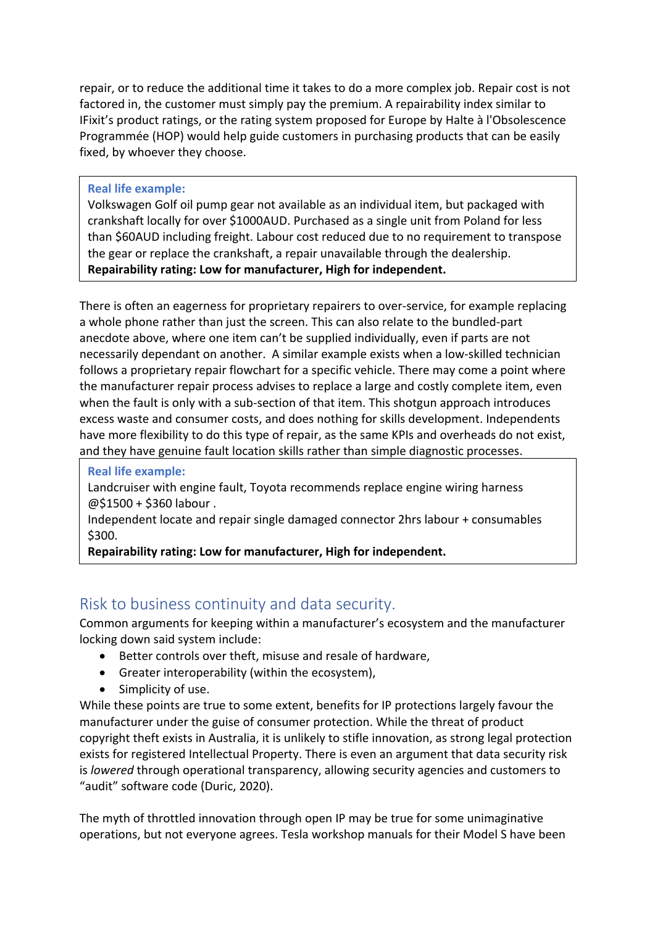repair, or to reduce the additional time it takes to do a more complex job. Repair cost is not factored in, the customer must simply pay the premium. A repairability index similar to IFixit's product ratings, or the rating system proposed for Europe by Halte à l'Obsolescence Programmée (HOP) would help guide customers in purchasing products that can be easily fixed, by whoever they choose.

#### **Real life example:**

Volkswagen Golf oil pump gear not available as an individual item, but packaged with crankshaft locally for over \$1000AUD. Purchased as a single unit from Poland for less than \$60AUD including freight. Labour cost reduced due to no requirement to transpose the gear or replace the crankshaft, a repair unavailable through the dealership. **Repairability rating: Low for manufacturer, High for independent.**

There is often an eagerness for proprietary repairers to over-service, for example replacing a whole phone rather than just the screen. This can also relate to the bundled-part anecdote above, where one item can't be supplied individually, even if parts are not necessarily dependant on another. A similar example exists when a low-skilled technician follows a proprietary repair flowchart for a specific vehicle. There may come a point where the manufacturer repair process advises to replace a large and costly complete item, even when the fault is only with a sub-section of that item. This shotgun approach introduces excess waste and consumer costs, and does nothing for skills development. Independents have more flexibility to do this type of repair, as the same KPIs and overheads do not exist, and they have genuine fault location skills rather than simple diagnostic processes.

#### **Real life example:**

Landcruiser with engine fault, Toyota recommends replace engine wiring harness @\$1500 + \$360 labour .

Independent locate and repair single damaged connector 2hrs labour + consumables \$300.

**Repairability rating: Low for manufacturer, High for independent.**

## Risk to business continuity and data security.

Common arguments for keeping within a manufacturer's ecosystem and the manufacturer locking down said system include:

- Better controls over theft, misuse and resale of hardware,
- Greater interoperability (within the ecosystem),
- Simplicity of use.

While these points are true to some extent, benefits for IP protections largely favour the manufacturer under the guise of consumer protection. While the threat of product copyright theft exists in Australia, it is unlikely to stifle innovation, as strong legal protection exists for registered Intellectual Property. There is even an argument that data security risk is *lowered* through operational transparency, allowing security agencies and customers to "audit" software code (Duric, 2020).

The myth of throttled innovation through open IP may be true for some unimaginative operations, but not everyone agrees. Tesla workshop manuals for their Model S have been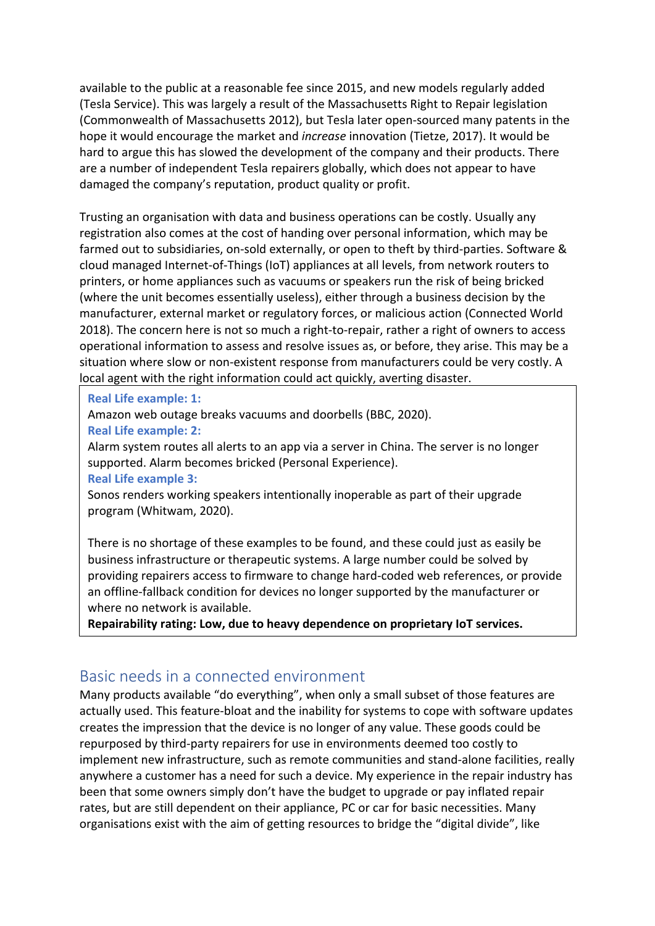available to the public at a reasonable fee since 2015, and new models regularly added (Tesla Service). This was largely a result of the Massachusetts Right to Repair legislation (Commonwealth of Massachusetts 2012), but Tesla later open-sourced many patents in the hope it would encourage the market and *increase* innovation (Tietze, 2017). It would be hard to argue this has slowed the development of the company and their products. There are a number of independent Tesla repairers globally, which does not appear to have damaged the company's reputation, product quality or profit.

Trusting an organisation with data and business operations can be costly. Usually any registration also comes at the cost of handing over personal information, which may be farmed out to subsidiaries, on-sold externally, or open to theft by third-parties. Software & cloud managed Internet-of-Things (IoT) appliances at all levels, from network routers to printers, or home appliances such as vacuums or speakers run the risk of being bricked (where the unit becomes essentially useless), either through a business decision by the manufacturer, external market or regulatory forces, or malicious action (Connected World 2018). The concern here is not so much a right-to-repair, rather a right of owners to access operational information to assess and resolve issues as, or before, they arise. This may be a situation where slow or non-existent response from manufacturers could be very costly. A local agent with the right information could act quickly, averting disaster.

#### **Real Life example: 1:**

Amazon web outage breaks vacuums and doorbells (BBC, 2020).

#### **Real Life example: 2:**

Alarm system routes all alerts to an app via a server in China. The server is no longer supported. Alarm becomes bricked (Personal Experience).

#### **Real Life example 3:**

Sonos renders working speakers intentionally inoperable as part of their upgrade program (Whitwam, 2020).

There is no shortage of these examples to be found, and these could just as easily be business infrastructure or therapeutic systems. A large number could be solved by providing repairers access to firmware to change hard-coded web references, or provide an offline-fallback condition for devices no longer supported by the manufacturer or where no network is available.

**Repairability rating: Low, due to heavy dependence on proprietary IoT services.**

### Basic needs in a connected environment

Many products available "do everything", when only a small subset of those features are actually used. This feature-bloat and the inability for systems to cope with software updates creates the impression that the device is no longer of any value. These goods could be repurposed by third-party repairers for use in environments deemed too costly to implement new infrastructure, such as remote communities and stand-alone facilities, really anywhere a customer has a need for such a device. My experience in the repair industry has been that some owners simply don't have the budget to upgrade or pay inflated repair rates, but are still dependent on their appliance, PC or car for basic necessities. Many organisations exist with the aim of getting resources to bridge the "digital divide", like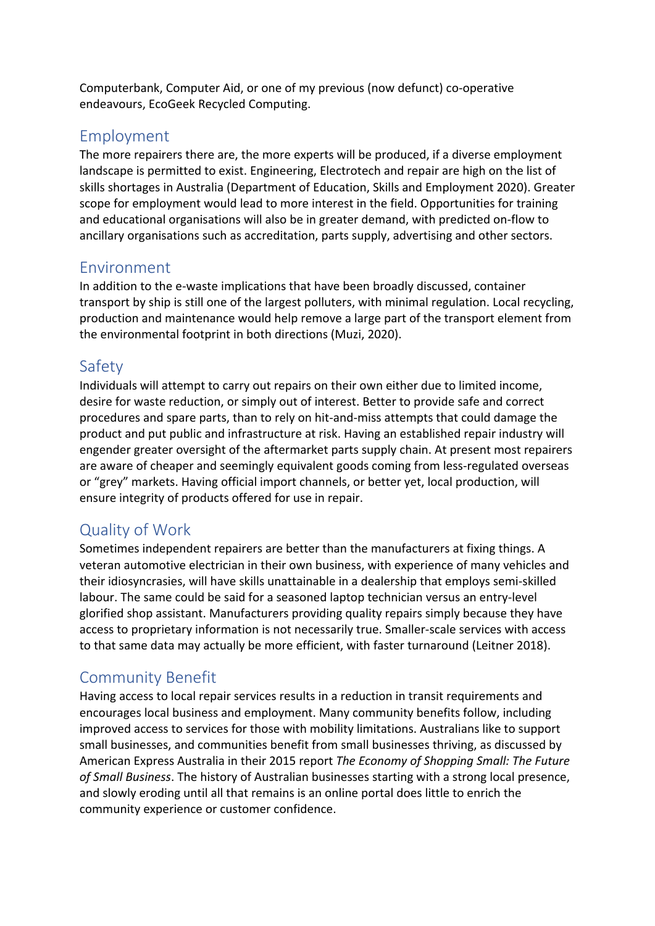Computerbank, Computer Aid, or one of my previous (now defunct) co-operative endeavours, EcoGeek Recycled Computing.

### Employment

The more repairers there are, the more experts will be produced, if a diverse employment landscape is permitted to exist. Engineering, Electrotech and repair are high on the list of skills shortages in Australia (Department of Education, Skills and Employment 2020). Greater scope for employment would lead to more interest in the field. Opportunities for training and educational organisations will also be in greater demand, with predicted on-flow to ancillary organisations such as accreditation, parts supply, advertising and other sectors.

### Environment

In addition to the e-waste implications that have been broadly discussed, container transport by ship is still one of the largest polluters, with minimal regulation. Local recycling, production and maintenance would help remove a large part of the transport element from the environmental footprint in both directions (Muzi, 2020).

## Safety

Individuals will attempt to carry out repairs on their own either due to limited income, desire for waste reduction, or simply out of interest. Better to provide safe and correct procedures and spare parts, than to rely on hit-and-miss attempts that could damage the product and put public and infrastructure at risk. Having an established repair industry will engender greater oversight of the aftermarket parts supply chain. At present most repairers are aware of cheaper and seemingly equivalent goods coming from less-regulated overseas or "grey" markets. Having official import channels, or better yet, local production, will ensure integrity of products offered for use in repair.

## Quality of Work

Sometimes independent repairers are better than the manufacturers at fixing things. A veteran automotive electrician in their own business, with experience of many vehicles and their idiosyncrasies, will have skills unattainable in a dealership that employs semi-skilled labour. The same could be said for a seasoned laptop technician versus an entry-level glorified shop assistant. Manufacturers providing quality repairs simply because they have access to proprietary information is not necessarily true. Smaller-scale services with access to that same data may actually be more efficient, with faster turnaround (Leitner 2018).

## Community Benefit

Having access to local repair services results in a reduction in transit requirements and encourages local business and employment. Many community benefits follow, including improved access to services for those with mobility limitations. Australians like to support small businesses, and communities benefit from small businesses thriving, as discussed by American Express Australia in their 2015 report *The Economy of Shopping Small: The Future of Small Business*. The history of Australian businesses starting with a strong local presence, and slowly eroding until all that remains is an online portal does little to enrich the community experience or customer confidence.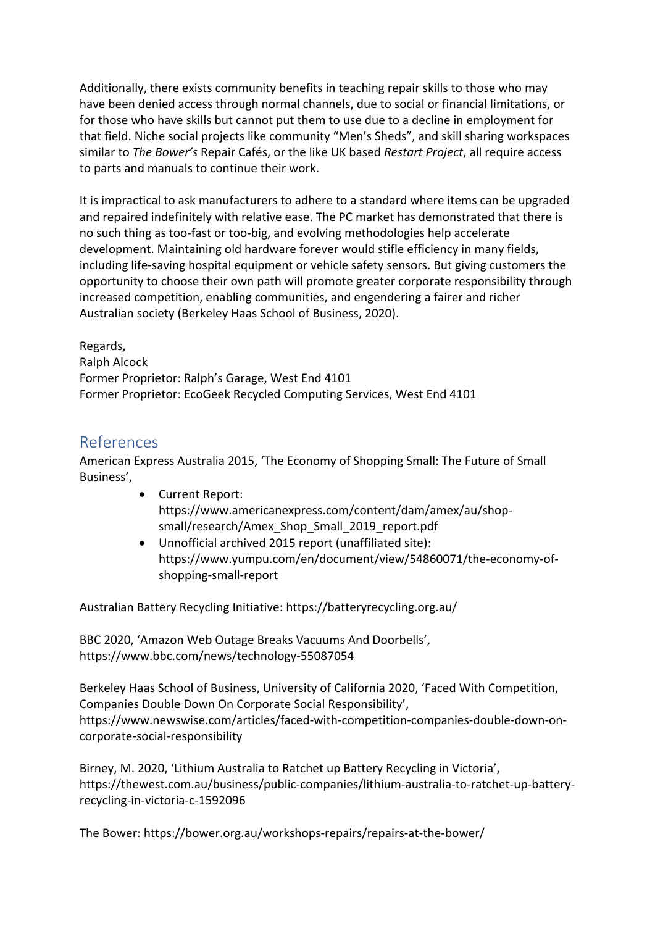Additionally, there exists community benefits in teaching repair skills to those who may have been denied access through normal channels, due to social or financial limitations, or for those who have skills but cannot put them to use due to a decline in employment for that field. Niche social projects like community "Men's Sheds", and skill sharing workspaces similar to *The Bower's* Repair Cafés, or the like UK based *Restart Project*, all require access to parts and manuals to continue their work.

It is impractical to ask manufacturers to adhere to a standard where items can be upgraded and repaired indefinitely with relative ease. The PC market has demonstrated that there is no such thing as too-fast or too-big, and evolving methodologies help accelerate development. Maintaining old hardware forever would stifle efficiency in many fields, including life-saving hospital equipment or vehicle safety sensors. But giving customers the opportunity to choose their own path will promote greater corporate responsibility through increased competition, enabling communities, and engendering a fairer and richer Australian society (Berkeley Haas School of Business, 2020).

Regards, Ralph Alcock Former Proprietor: Ralph's Garage, West End 4101 Former Proprietor: EcoGeek Recycled Computing Services, West End 4101

### References

American Express Australia 2015, 'The Economy of Shopping Small: The Future of Small Business',

- Current Report: https://www.americanexpress.com/content/dam/amex/au/shopsmall/research/Amex\_Shop\_Small\_2019\_report.pdf
- Unnofficial archived 2015 report (unaffiliated site): https://www.yumpu.com/en/document/view/54860071/the-economy-ofshopping-small-report

Australian Battery Recycling Initiative: https://batteryrecycling.org.au/

BBC 2020, 'Amazon Web Outage Breaks Vacuums And Doorbells', https://www.bbc.com/news/technology-55087054

Berkeley Haas School of Business, University of California 2020, 'Faced With Competition, Companies Double Down On Corporate Social Responsibility', https://www.newswise.com/articles/faced-with-competition-companies-double-down-oncorporate-social-responsibility

Birney, M. 2020, 'Lithium Australia to Ratchet up Battery Recycling in Victoria', https://thewest.com.au/business/public-companies/lithium-australia-to-ratchet-up-batteryrecycling-in-victoria-c-1592096

The Bower: https://bower.org.au/workshops-repairs/repairs-at-the-bower/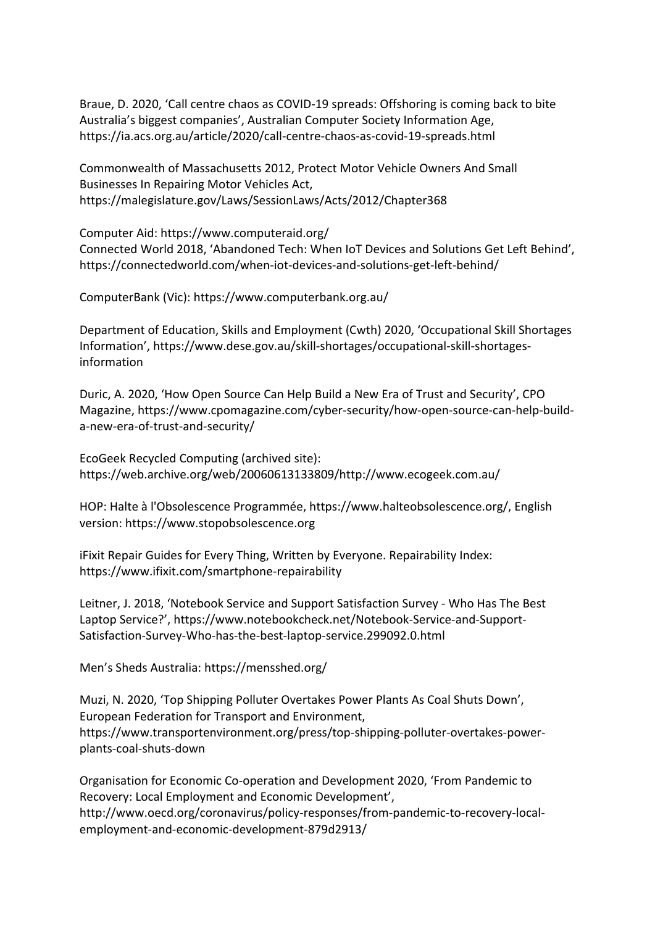Braue, D. 2020, 'Call centre chaos as COVID-19 spreads: Offshoring is coming back to bite Australia's biggest companies', Australian Computer Society Information Age, https://ia.acs.org.au/article/2020/call-centre-chaos-as-covid-19-spreads.html

Commonwealth of Massachusetts 2012, Protect Motor Vehicle Owners And Small Businesses In Repairing Motor Vehicles Act, https://malegislature.gov/Laws/SessionLaws/Acts/2012/Chapter368

Computer Aid: https://www.computeraid.org/ Connected World 2018, 'Abandoned Tech: When IoT Devices and Solutions Get Left Behind', https://connectedworld.com/when-iot-devices-and-solutions-get-left-behind/

ComputerBank (Vic): https://www.computerbank.org.au/

Department of Education, Skills and Employment (Cwth) 2020, 'Occupational Skill Shortages Information', https://www.dese.gov.au/skill-shortages/occupational-skill-shortagesinformation

Duric, A. 2020, 'How Open Source Can Help Build a New Era of Trust and Security', CPO Magazine, https://www.cpomagazine.com/cyber-security/how-open-source-can-help-builda-new-era-of-trust-and-security/

EcoGeek Recycled Computing (archived site): https://web.archive.org/web/20060613133809/http://www.ecogeek.com.au/

HOP: Halte à l'Obsolescence Programmée, https://www.halteobsolescence.org/, English version: https://www.stopobsolescence.org

iFixit Repair Guides for Every Thing, Written by Everyone. Repairability Index: https://www.ifixit.com/smartphone-repairability

Leitner, J. 2018, 'Notebook Service and Support Satisfaction Survey - Who Has The Best Laptop Service?', https://www.notebookcheck.net/Notebook-Service-and-Support-Satisfaction-Survey-Who-has-the-best-laptop-service.299092.0.html

Men's Sheds Australia: https://mensshed.org/

Muzi, N. 2020, 'Top Shipping Polluter Overtakes Power Plants As Coal Shuts Down', European Federation for Transport and Environment, https://www.transportenvironment.org/press/top-shipping-polluter-overtakes-powerplants-coal-shuts-down

Organisation for Economic Co-operation and Development 2020, 'From Pandemic to Recovery: Local Employment and Economic Development', http://www.oecd.org/coronavirus/policy-responses/from-pandemic-to-recovery-localemployment-and-economic-development-879d2913/